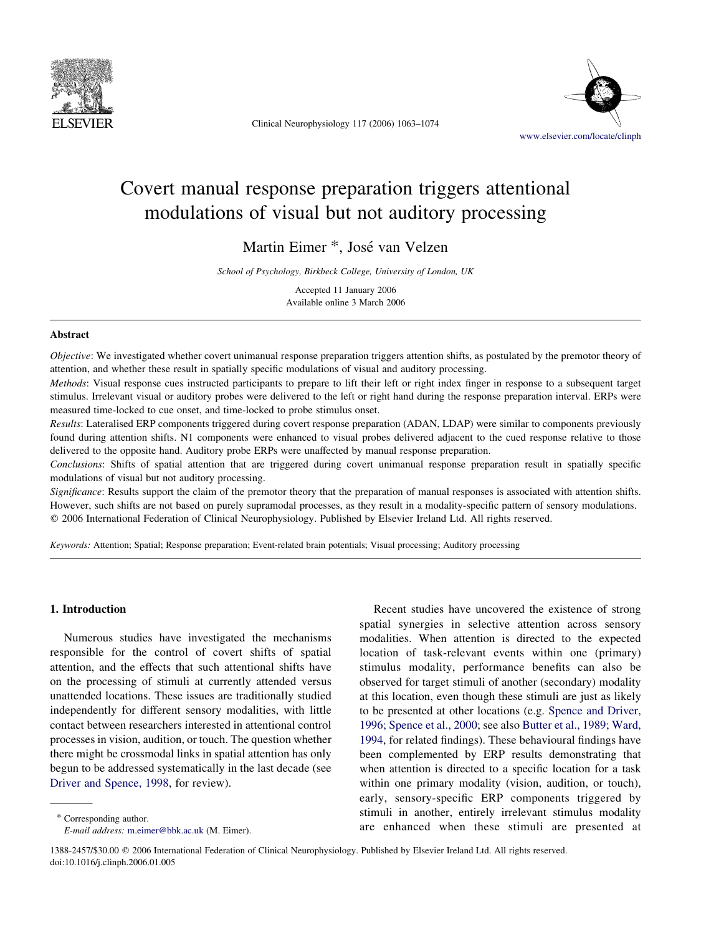

Clinical Neurophysiology 117 (2006) 1063–1074



# Covert manual response preparation triggers attentional modulations of visual but not auditory processing

Martin Eimer \*, José van Velzen

School of Psychology, Birkbeck College, University of London, UK

Accepted 11 January 2006 Available online 3 March 2006

# Abstract

Objective: We investigated whether covert unimanual response preparation triggers attention shifts, as postulated by the premotor theory of attention, and whether these result in spatially specific modulations of visual and auditory processing.

Methods: Visual response cues instructed participants to prepare to lift their left or right index finger in response to a subsequent target stimulus. Irrelevant visual or auditory probes were delivered to the left or right hand during the response preparation interval. ERPs were measured time-locked to cue onset, and time-locked to probe stimulus onset.

Results: Lateralised ERP components triggered during covert response preparation (ADAN, LDAP) were similar to components previously found during attention shifts. N1 components were enhanced to visual probes delivered adjacent to the cued response relative to those delivered to the opposite hand. Auditory probe ERPs were unaffected by manual response preparation.

Conclusions: Shifts of spatial attention that are triggered during covert unimanual response preparation result in spatially specific modulations of visual but not auditory processing.

Significance: Results support the claim of the premotor theory that the preparation of manual responses is associated with attention shifts. However, such shifts are not based on purely supramodal processes, as they result in a modality-specific pattern of sensory modulations.  $Q$  2006 International Federation of Clinical Neurophysiology. Published by Elsevier Ireland Ltd. All rights reserved.

Keywords: Attention; Spatial; Response preparation; Event-related brain potentials; Visual processing; Auditory processing

# 1. Introduction

Numerous studies have investigated the mechanisms responsible for the control of covert shifts of spatial attention, and the effects that such attentional shifts have on the processing of stimuli at currently attended versus unattended locations. These issues are traditionally studied independently for different sensory modalities, with little contact between researchers interested in attentional control processes in vision, audition, or touch. The question whether there might be crossmodal links in spatial attention has only begun to be addressed systematically in the last decade (see [Driver and Spence, 1998](#page-10-0), for review).

\* Corresponding author. E-mail address: [m.eimer@bbk.ac.uk](mailto:m.eimer@bbk.ac.uk) (M. Eimer).

Recent studies have uncovered the existence of strong spatial synergies in selective attention across sensory modalities. When attention is directed to the expected location of task-relevant events within one (primary) stimulus modality, performance benefits can also be observed for target stimuli of another (secondary) modality at this location, even though these stimuli are just as likely to be presented at other locations (e.g. [Spence and Driver,](#page-11-0) [1996; Spence et al., 2000](#page-11-0); see also [Butter et al., 1989; Ward,](#page-10-0) [1994](#page-10-0), for related findings). These behavioural findings have been complemented by ERP results demonstrating that when attention is directed to a specific location for a task within one primary modality (vision, audition, or touch), early, sensory-specific ERP components triggered by stimuli in another, entirely irrelevant stimulus modality are enhanced when these stimuli are presented at

1388-2457/\$30.00 q 2006 International Federation of Clinical Neurophysiology. Published by Elsevier Ireland Ltd. All rights reserved. doi:10.1016/j.clinph.2006.01.005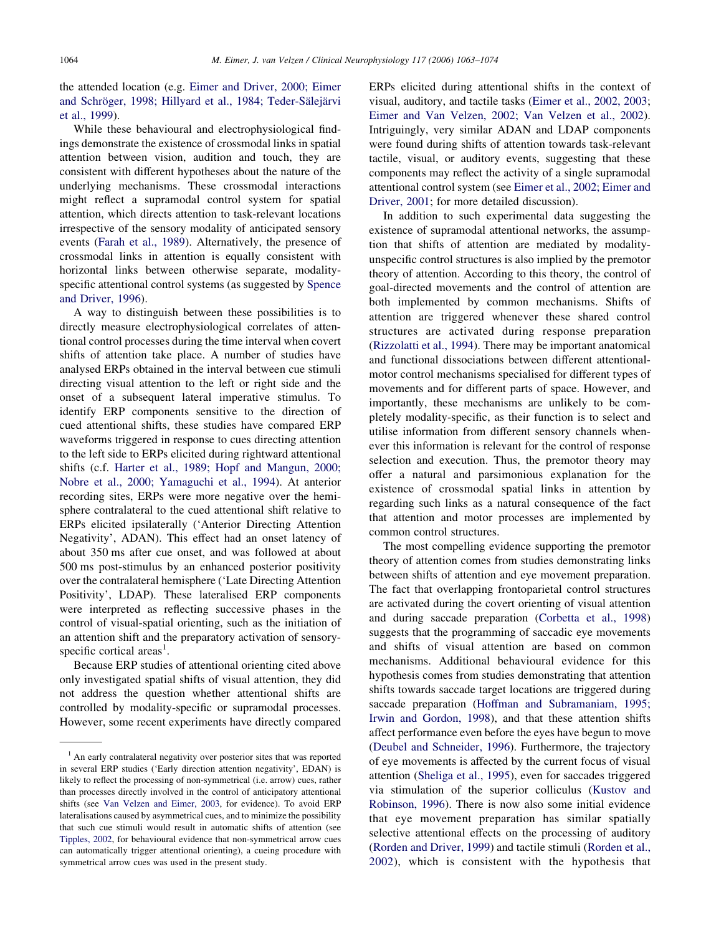the attended location (e.g. [Eimer and Driver, 2000; Eimer](#page-10-0) and Schröger, 1998; Hillyard et al., 1984; Teder-Sälejärvi [et al., 1999](#page-10-0)).

While these behavioural and electrophysiological findings demonstrate the existence of crossmodal links in spatial attention between vision, audition and touch, they are consistent with different hypotheses about the nature of the underlying mechanisms. These crossmodal interactions might reflect a supramodal control system for spatial attention, which directs attention to task-relevant locations irrespective of the sensory modality of anticipated sensory events [\(Farah et al., 1989](#page-10-0)). Alternatively, the presence of crossmodal links in attention is equally consistent with horizontal links between otherwise separate, modalityspecific attentional control systems (as suggested by [Spence](#page-11-0) [and Driver, 1996\)](#page-11-0).

A way to distinguish between these possibilities is to directly measure electrophysiological correlates of attentional control processes during the time interval when covert shifts of attention take place. A number of studies have analysed ERPs obtained in the interval between cue stimuli directing visual attention to the left or right side and the onset of a subsequent lateral imperative stimulus. To identify ERP components sensitive to the direction of cued attentional shifts, these studies have compared ERP waveforms triggered in response to cues directing attention to the left side to ERPs elicited during rightward attentional shifts (c.f. [Harter et al., 1989; Hopf and Mangun, 2000;](#page-11-0) [Nobre et al., 2000; Yamaguchi et al., 1994](#page-11-0)). At anterior recording sites, ERPs were more negative over the hemisphere contralateral to the cued attentional shift relative to ERPs elicited ipsilaterally ('Anterior Directing Attention Negativity', ADAN). This effect had an onset latency of about 350 ms after cue onset, and was followed at about 500 ms post-stimulus by an enhanced posterior positivity over the contralateral hemisphere ('Late Directing Attention Positivity', LDAP). These lateralised ERP components were interpreted as reflecting successive phases in the control of visual-spatial orienting, such as the initiation of an attention shift and the preparatory activation of sensoryspecific cortical areas<sup>1</sup>.

Because ERP studies of attentional orienting cited above only investigated spatial shifts of visual attention, they did not address the question whether attentional shifts are controlled by modality-specific or supramodal processes. However, some recent experiments have directly compared ERPs elicited during attentional shifts in the context of visual, auditory, and tactile tasks [\(Eimer et al., 2002, 2003;](#page-10-0) [Eimer and Van Velzen, 2002; Van Velzen et al., 2002\)](#page-10-0). Intriguingly, very similar ADAN and LDAP components were found during shifts of attention towards task-relevant tactile, visual, or auditory events, suggesting that these components may reflect the activity of a single supramodal attentional control system (see [Eimer et al., 2002; Eimer and](#page-10-0) [Driver, 2001](#page-10-0); for more detailed discussion).

In addition to such experimental data suggesting the existence of supramodal attentional networks, the assumption that shifts of attention are mediated by modalityunspecific control structures is also implied by the premotor theory of attention. According to this theory, the control of goal-directed movements and the control of attention are both implemented by common mechanisms. Shifts of attention are triggered whenever these shared control structures are activated during response preparation ([Rizzolatti et al., 1994](#page-11-0)). There may be important anatomical and functional dissociations between different attentionalmotor control mechanisms specialised for different types of movements and for different parts of space. However, and importantly, these mechanisms are unlikely to be completely modality-specific, as their function is to select and utilise information from different sensory channels whenever this information is relevant for the control of response selection and execution. Thus, the premotor theory may offer a natural and parsimonious explanation for the existence of crossmodal spatial links in attention by regarding such links as a natural consequence of the fact that attention and motor processes are implemented by common control structures.

The most compelling evidence supporting the premotor theory of attention comes from studies demonstrating links between shifts of attention and eye movement preparation. The fact that overlapping frontoparietal control structures are activated during the covert orienting of visual attention and during saccade preparation ([Corbetta et al., 1998](#page-10-0)) suggests that the programming of saccadic eye movements and shifts of visual attention are based on common mechanisms. Additional behavioural evidence for this hypothesis comes from studies demonstrating that attention shifts towards saccade target locations are triggered during saccade preparation [\(Hoffman and Subramaniam, 1995;](#page-11-0) [Irwin and Gordon, 1998\)](#page-11-0), and that these attention shifts affect performance even before the eyes have begun to move ([Deubel and Schneider, 1996](#page-10-0)). Furthermore, the trajectory of eye movements is affected by the current focus of visual attention [\(Sheliga et al., 1995](#page-11-0)), even for saccades triggered via stimulation of the superior colliculus [\(Kustov and](#page-11-0) [Robinson, 1996\)](#page-11-0). There is now also some initial evidence that eye movement preparation has similar spatially selective attentional effects on the processing of auditory ([Rorden and Driver, 1999](#page-11-0)) and tactile stimuli [\(Rorden et al.,](#page-11-0) [2002](#page-11-0)), which is consistent with the hypothesis that

<sup>&</sup>lt;sup>1</sup> An early contralateral negativity over posterior sites that was reported in several ERP studies ('Early direction attention negativity', EDAN) is likely to reflect the processing of non-symmetrical (i.e. arrow) cues, rather than processes directly involved in the control of anticipatory attentional shifts (see [Van Velzen and Eimer, 2003,](#page-11-0) for evidence). To avoid ERP lateralisations caused by asymmetrical cues, and to minimize the possibility that such cue stimuli would result in automatic shifts of attention (see [Tipples, 2002](#page-11-0), for behavioural evidence that non-symmetrical arrow cues can automatically trigger attentional orienting), a cueing procedure with symmetrical arrow cues was used in the present study.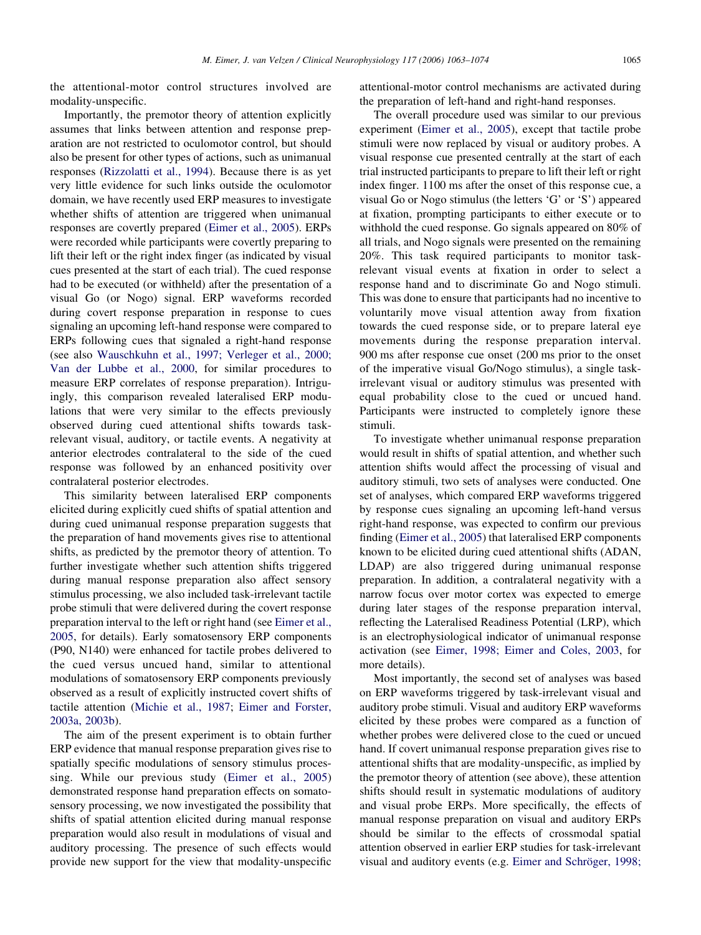the attentional-motor control structures involved are modality-unspecific.

Importantly, the premotor theory of attention explicitly assumes that links between attention and response preparation are not restricted to oculomotor control, but should also be present for other types of actions, such as unimanual responses [\(Rizzolatti et al., 1994](#page-11-0)). Because there is as yet very little evidence for such links outside the oculomotor domain, we have recently used ERP measures to investigate whether shifts of attention are triggered when unimanual responses are covertly prepared [\(Eimer et al., 2005\)](#page-10-0). ERPs were recorded while participants were covertly preparing to lift their left or the right index finger (as indicated by visual cues presented at the start of each trial). The cued response had to be executed (or withheld) after the presentation of a visual Go (or Nogo) signal. ERP waveforms recorded during covert response preparation in response to cues signaling an upcoming left-hand response were compared to ERPs following cues that signaled a right-hand response (see also [Wauschkuhn et al., 1997; Verleger et al., 2000;](#page-11-0) [Van der Lubbe et al., 2000](#page-11-0), for similar procedures to measure ERP correlates of response preparation). Intriguingly, this comparison revealed lateralised ERP modulations that were very similar to the effects previously observed during cued attentional shifts towards taskrelevant visual, auditory, or tactile events. A negativity at anterior electrodes contralateral to the side of the cued response was followed by an enhanced positivity over contralateral posterior electrodes.

This similarity between lateralised ERP components elicited during explicitly cued shifts of spatial attention and during cued unimanual response preparation suggests that the preparation of hand movements gives rise to attentional shifts, as predicted by the premotor theory of attention. To further investigate whether such attention shifts triggered during manual response preparation also affect sensory stimulus processing, we also included task-irrelevant tactile probe stimuli that were delivered during the covert response preparation interval to the left or right hand (see [Eimer et al.,](#page-10-0) [2005](#page-10-0), for details). Early somatosensory ERP components (P90, N140) were enhanced for tactile probes delivered to the cued versus uncued hand, similar to attentional modulations of somatosensory ERP components previously observed as a result of explicitly instructed covert shifts of tactile attention ([Michie et al., 1987;](#page-11-0) [Eimer and Forster,](#page-10-0) [2003a, 2003b](#page-10-0)).

The aim of the present experiment is to obtain further ERP evidence that manual response preparation gives rise to spatially specific modulations of sensory stimulus processing. While our previous study ([Eimer et al., 2005](#page-10-0)) demonstrated response hand preparation effects on somatosensory processing, we now investigated the possibility that shifts of spatial attention elicited during manual response preparation would also result in modulations of visual and auditory processing. The presence of such effects would provide new support for the view that modality-unspecific

attentional-motor control mechanisms are activated during the preparation of left-hand and right-hand responses.

The overall procedure used was similar to our previous experiment ([Eimer et al., 2005](#page-10-0)), except that tactile probe stimuli were now replaced by visual or auditory probes. A visual response cue presented centrally at the start of each trial instructed participants to prepare to lift their left or right index finger. 1100 ms after the onset of this response cue, a visual Go or Nogo stimulus (the letters 'G' or 'S') appeared at fixation, prompting participants to either execute or to withhold the cued response. Go signals appeared on 80% of all trials, and Nogo signals were presented on the remaining 20%. This task required participants to monitor taskrelevant visual events at fixation in order to select a response hand and to discriminate Go and Nogo stimuli. This was done to ensure that participants had no incentive to voluntarily move visual attention away from fixation towards the cued response side, or to prepare lateral eye movements during the response preparation interval. 900 ms after response cue onset (200 ms prior to the onset of the imperative visual Go/Nogo stimulus), a single taskirrelevant visual or auditory stimulus was presented with equal probability close to the cued or uncued hand. Participants were instructed to completely ignore these stimuli.

To investigate whether unimanual response preparation would result in shifts of spatial attention, and whether such attention shifts would affect the processing of visual and auditory stimuli, two sets of analyses were conducted. One set of analyses, which compared ERP waveforms triggered by response cues signaling an upcoming left-hand versus right-hand response, was expected to confirm our previous finding [\(Eimer et al., 2005\)](#page-10-0) that lateralised ERP components known to be elicited during cued attentional shifts (ADAN, LDAP) are also triggered during unimanual response preparation. In addition, a contralateral negativity with a narrow focus over motor cortex was expected to emerge during later stages of the response preparation interval, reflecting the Lateralised Readiness Potential (LRP), which is an electrophysiological indicator of unimanual response activation (see [Eimer, 1998; Eimer and Coles, 2003](#page-10-0), for more details).

Most importantly, the second set of analyses was based on ERP waveforms triggered by task-irrelevant visual and auditory probe stimuli. Visual and auditory ERP waveforms elicited by these probes were compared as a function of whether probes were delivered close to the cued or uncued hand. If covert unimanual response preparation gives rise to attentional shifts that are modality-unspecific, as implied by the premotor theory of attention (see above), these attention shifts should result in systematic modulations of auditory and visual probe ERPs. More specifically, the effects of manual response preparation on visual and auditory ERPs should be similar to the effects of crossmodal spatial attention observed in earlier ERP studies for task-irrelevant visual and auditory events (e.g. Eimer and Schröger, 1998;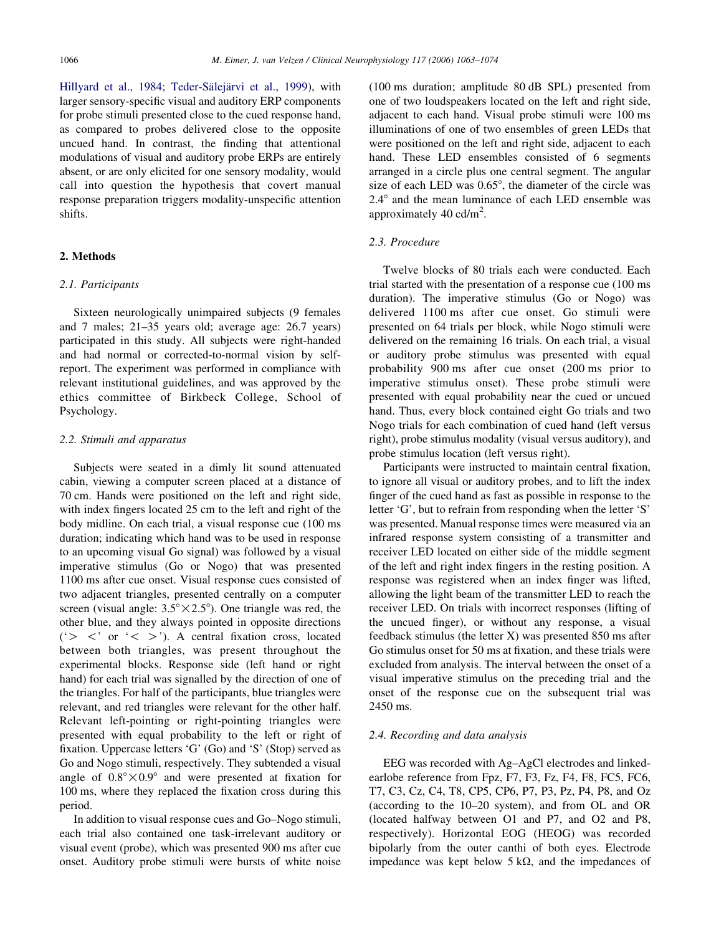Hillyard et al., 1984; Teder-Sälejärvi et al., 1999), with larger sensory-specific visual and auditory ERP components for probe stimuli presented close to the cued response hand, as compared to probes delivered close to the opposite uncued hand. In contrast, the finding that attentional modulations of visual and auditory probe ERPs are entirely absent, or are only elicited for one sensory modality, would call into question the hypothesis that covert manual response preparation triggers modality-unspecific attention shifts.

# 2. Methods

#### 2.1. Participants

Sixteen neurologically unimpaired subjects (9 females and 7 males; 21–35 years old; average age: 26.7 years) participated in this study. All subjects were right-handed and had normal or corrected-to-normal vision by selfreport. The experiment was performed in compliance with relevant institutional guidelines, and was approved by the ethics committee of Birkbeck College, School of Psychology.

## 2.2. Stimuli and apparatus

Subjects were seated in a dimly lit sound attenuated cabin, viewing a computer screen placed at a distance of 70 cm. Hands were positioned on the left and right side, with index fingers located 25 cm to the left and right of the body midline. On each trial, a visual response cue (100 ms duration; indicating which hand was to be used in response to an upcoming visual Go signal) was followed by a visual imperative stimulus (Go or Nogo) that was presented 1100 ms after cue onset. Visual response cues consisted of two adjacent triangles, presented centrally on a computer screen (visual angle:  $3.5^{\circ} \times 2.5^{\circ}$ ). One triangle was red, the other blue, and they always pointed in opposite directions ( $\ge$  < ' or ' < > '). A central fixation cross, located between both triangles, was present throughout the experimental blocks. Response side (left hand or right hand) for each trial was signalled by the direction of one of the triangles. For half of the participants, blue triangles were relevant, and red triangles were relevant for the other half. Relevant left-pointing or right-pointing triangles were presented with equal probability to the left or right of fixation. Uppercase letters 'G' (Go) and 'S' (Stop) served as Go and Nogo stimuli, respectively. They subtended a visual angle of  $0.8^{\circ} \times 0.9^{\circ}$  and were presented at fixation for 100 ms, where they replaced the fixation cross during this period.

In addition to visual response cues and Go–Nogo stimuli, each trial also contained one task-irrelevant auditory or visual event (probe), which was presented 900 ms after cue onset. Auditory probe stimuli were bursts of white noise (100 ms duration; amplitude 80 dB SPL) presented from one of two loudspeakers located on the left and right side, adjacent to each hand. Visual probe stimuli were 100 ms illuminations of one of two ensembles of green LEDs that were positioned on the left and right side, adjacent to each hand. These LED ensembles consisted of 6 segments arranged in a circle plus one central segment. The angular size of each LED was  $0.65^{\circ}$ , the diameter of the circle was  $2.4^\circ$  and the mean luminance of each LED ensemble was approximately  $40 \text{ cd/m}^2$ .

#### 2.3. Procedure

Twelve blocks of 80 trials each were conducted. Each trial started with the presentation of a response cue (100 ms duration). The imperative stimulus (Go or Nogo) was delivered 1100 ms after cue onset. Go stimuli were presented on 64 trials per block, while Nogo stimuli were delivered on the remaining 16 trials. On each trial, a visual or auditory probe stimulus was presented with equal probability 900 ms after cue onset (200 ms prior to imperative stimulus onset). These probe stimuli were presented with equal probability near the cued or uncued hand. Thus, every block contained eight Go trials and two Nogo trials for each combination of cued hand (left versus right), probe stimulus modality (visual versus auditory), and probe stimulus location (left versus right).

Participants were instructed to maintain central fixation, to ignore all visual or auditory probes, and to lift the index finger of the cued hand as fast as possible in response to the letter 'G', but to refrain from responding when the letter 'S' was presented. Manual response times were measured via an infrared response system consisting of a transmitter and receiver LED located on either side of the middle segment of the left and right index fingers in the resting position. A response was registered when an index finger was lifted, allowing the light beam of the transmitter LED to reach the receiver LED. On trials with incorrect responses (lifting of the uncued finger), or without any response, a visual feedback stimulus (the letter X) was presented 850 ms after Go stimulus onset for 50 ms at fixation, and these trials were excluded from analysis. The interval between the onset of a visual imperative stimulus on the preceding trial and the onset of the response cue on the subsequent trial was 2450 ms.

#### 2.4. Recording and data analysis

EEG was recorded with Ag–AgCl electrodes and linkedearlobe reference from Fpz, F7, F3, Fz, F4, F8, FC5, FC6, T7, C3, Cz, C4, T8, CP5, CP6, P7, P3, Pz, P4, P8, and Oz (according to the 10–20 system), and from OL and OR (located halfway between O1 and P7, and O2 and P8, respectively). Horizontal EOG (HEOG) was recorded bipolarly from the outer canthi of both eyes. Electrode impedance was kept below  $5 \text{ k}\Omega$ , and the impedances of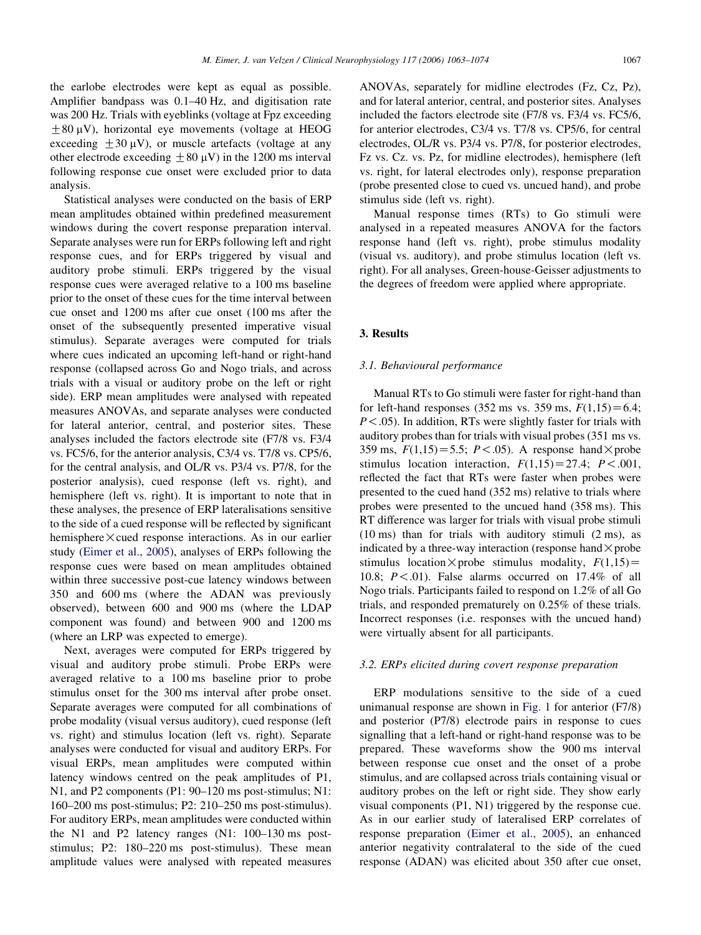the earlobe electrodes were kept as equal as possible. Amplifier bandpass was 0.1–40 Hz, and digitisation rate was 200 Hz. Trials with eyeblinks (voltage at Fpz exceeding  $+80 \mu V$ ), horizontal eye movements (voltage at HEOG exceeding  $+30 \mu V$ ), or muscle artefacts (voltage at any other electrode exceeding  $\pm 80 \mu V$ ) in the 1200 ms interval following response cue onset were excluded prior to data analysis.

Statistical analyses were conducted on the basis of ERP mean amplitudes obtained within predefined measurement windows during the covert response preparation interval. Separate analyses were run for ERPs following left and right response cues, and for ERPs triggered by visual and auditory probe stimuli. ERPs triggered by the visual response cues were averaged relative to a 100 ms baseline prior to the onset of these cues for the time interval between cue onset and 1200 ms after cue onset (100 ms after the onset of the subsequently presented imperative visual stimulus). Separate averages were computed for trials where cues indicated an upcoming left-hand or right-hand response (collapsed across Go and Nogo trials, and across trials with a visual or auditory probe on the left or right side). ERP mean amplitudes were analysed with repeated measures ANOVAs, and separate analyses were conducted for lateral anterior, central, and posterior sites. These analyses included the factors electrode site (F7/8 vs. F3/4 vs. FC5/6, for the anterior analysis, C3/4 vs. T7/8 vs. CP5/6, for the central analysis, and OL/R vs. P3/4 vs. P7/8, for the posterior analysis), cued response (left vs. right), and hemisphere (left vs. right). It is important to note that in these analyses, the presence of ERP lateralisations sensitive to the side of a cued response will be reflected by significant hemisphere  $\times$  cued response interactions. As in our earlier study ([Eimer et al., 2005](#page-10-0)), analyses of ERPs following the response cues were based on mean amplitudes obtained within three successive post-cue latency windows between 350 and 600 ms (where the ADAN was previously observed), between 600 and 900 ms (where the LDAP component was found) and between 900 and 1200 ms (where an LRP was expected to emerge).

Next, averages were computed for ERPs triggered by visual and auditory probe stimuli. Probe ERPs were averaged relative to a 100 ms baseline prior to probe stimulus onset for the 300 ms interval after probe onset. Separate averages were computed for all combinations of probe modality (visual versus auditory), cued response (left vs. right) and stimulus location (left vs. right). Separate analyses were conducted for visual and auditory ERPs. For visual ERPs, mean amplitudes were computed within latency windows centred on the peak amplitudes of P1, N1, and P2 components (P1: 90–120 ms post-stimulus; N1: 160–200 ms post-stimulus; P2: 210–250 ms post-stimulus). For auditory ERPs, mean amplitudes were conducted within the N1 and P2 latency ranges (N1: 100–130 ms poststimulus; P2: 180–220 ms post-stimulus). These mean amplitude values were analysed with repeated measures

ANOVAs, separately for midline electrodes (Fz, Cz, Pz), and for lateral anterior, central, and posterior sites. Analyses included the factors electrode site (F7/8 vs. F3/4 vs. FC5/6, for anterior electrodes, C3/4 vs. T7/8 vs. CP5/6, for central electrodes, OL/R vs. P3/4 vs. P7/8, for posterior electrodes, Fz vs. Cz. vs. Pz, for midline electrodes), hemisphere (left vs. right, for lateral electrodes only), response preparation (probe presented close to cued vs. uncued hand), and probe stimulus side (left vs. right).

Manual response times (RTs) to Go stimuli were analysed in a repeated measures ANOVA for the factors response hand (left vs. right), probe stimulus modality (visual vs. auditory), and probe stimulus location (left vs. right). For all analyses, Green-house-Geisser adjustments to the degrees of freedom were applied where appropriate.

## 3. Results

## 3.1. Behavioural performance

Manual RTs to Go stimuli were faster for right-hand than for left-hand responses (352 ms vs. 359 ms,  $F(1,15)=6.4$ ;  $P < .05$ ). In addition, RTs were slightly faster for trials with auditory probes than for trials with visual probes (351 ms vs. 359 ms,  $F(1,15)=5.5$ ;  $P<.05$ ). A response hand  $\times$  probe stimulus location interaction,  $F(1,15)=27.4$ ;  $P < .001$ , reflected the fact that RTs were faster when probes were presented to the cued hand (352 ms) relative to trials where probes were presented to the uncued hand (358 ms). This RT difference was larger for trials with visual probe stimuli (10 ms) than for trials with auditory stimuli (2 ms), as indicated by a three-way interaction (response hand  $\times$  probe stimulus location  $\times$  probe stimulus modality,  $F(1,15)$ = 10.8;  $P < .01$ ). False alarms occurred on 17.4% of all Nogo trials. Participants failed to respond on 1.2% of all Go trials, and responded prematurely on 0.25% of these trials. Incorrect responses (i.e. responses with the uncued hand) were virtually absent for all participants.

# 3.2. ERPs elicited during covert response preparation

ERP modulations sensitive to the side of a cued unimanual response are shown in [Fig. 1](#page-5-0) for anterior (F7/8) and posterior (P7/8) electrode pairs in response to cues signalling that a left-hand or right-hand response was to be prepared. These waveforms show the 900 ms interval between response cue onset and the onset of a probe stimulus, and are collapsed across trials containing visual or auditory probes on the left or right side. They show early visual components (P1, N1) triggered by the response cue. As in our earlier study of lateralised ERP correlates of response preparation [\(Eimer et al., 2005\)](#page-10-0), an enhanced anterior negativity contralateral to the side of the cued response (ADAN) was elicited about 350 after cue onset,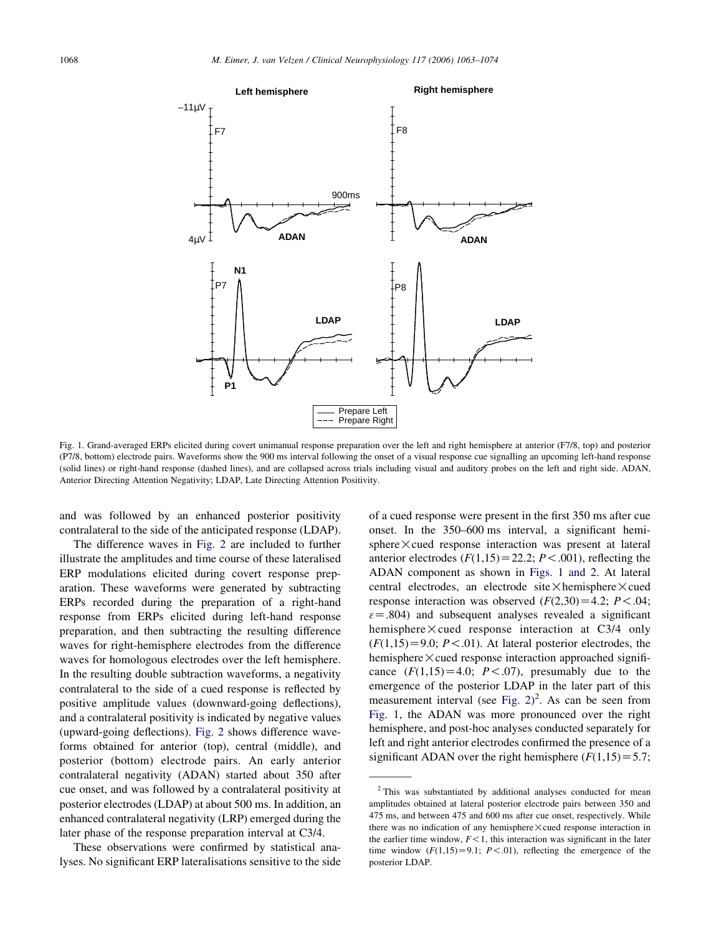<span id="page-5-0"></span>

Fig. 1. Grand-averaged ERPs elicited during covert unimanual response preparation over the left and right hemisphere at anterior (F7/8, top) and posterior (P7/8, bottom) electrode pairs. Waveforms show the 900 ms interval following the onset of a visual response cue signalling an upcoming left-hand response (solid lines) or right-hand response (dashed lines), and are collapsed across trials including visual and auditory probes on the left and right side. ADAN, Anterior Directing Attention Negativity; LDAP, Late Directing Attention Positivity.

and was followed by an enhanced posterior positivity contralateral to the side of the anticipated response (LDAP).

The difference waves in [Fig. 2](#page-6-0) are included to further illustrate the amplitudes and time course of these lateralised ERP modulations elicited during covert response preparation. These waveforms were generated by subtracting ERPs recorded during the preparation of a right-hand response from ERPs elicited during left-hand response preparation, and then subtracting the resulting difference waves for right-hemisphere electrodes from the difference waves for homologous electrodes over the left hemisphere. In the resulting double subtraction waveforms, a negativity contralateral to the side of a cued response is reflected by positive amplitude values (downward-going deflections), and a contralateral positivity is indicated by negative values (upward-going deflections). [Fig. 2](#page-6-0) shows difference waveforms obtained for anterior (top), central (middle), and posterior (bottom) electrode pairs. An early anterior contralateral negativity (ADAN) started about 350 after cue onset, and was followed by a contralateral positivity at posterior electrodes (LDAP) at about 500 ms. In addition, an enhanced contralateral negativity (LRP) emerged during the later phase of the response preparation interval at C3/4.

These observations were confirmed by statistical analyses. No significant ERP lateralisations sensitive to the side of a cued response were present in the first 350 ms after cue onset. In the 350–600 ms interval, a significant hemi $sphere \times cued$  response interaction was present at lateral anterior electrodes  $(F(1,15)=22.2; P<.001)$ , reflecting the ADAN component as shown in Figs. 1 and 2. At lateral central electrodes, an electrode site  $\times$  hemisphere  $\times$  cued response interaction was observed  $(F(2,30)=4.2; P<.04;$  $\varepsilon$  = .804) and subsequent analyses revealed a significant hemisphere  $\times$  cued response interaction at C3/4 only  $(F(1,15)=9.0; P<.01)$ . At lateral posterior electrodes, the hemisphere  $\times$  cued response interaction approached significance  $(F(1.15)=4.0; P\lt.07)$ , presumably due to the emergence of the posterior LDAP in the later part of this measurement interval (see [Fig. 2](#page-6-0))<sup>2</sup>. As can be seen from Fig. 1, the ADAN was more pronounced over the right hemisphere, and post-hoc analyses conducted separately for left and right anterior electrodes confirmed the presence of a significant ADAN over the right hemisphere  $(F(1,15)=5.7;$ 

<sup>2</sup> This was substantiated by additional analyses conducted for mean amplitudes obtained at lateral posterior electrode pairs between 350 and 475 ms, and between 475 and 600 ms after cue onset, respectively. While there was no indication of any hemisphere $\times$ cued response interaction in the earlier time window,  $F \leq 1$ , this interaction was significant in the later time window  $(F(1,15)=9.1; P<.01)$ , reflecting the emergence of the posterior LDAP.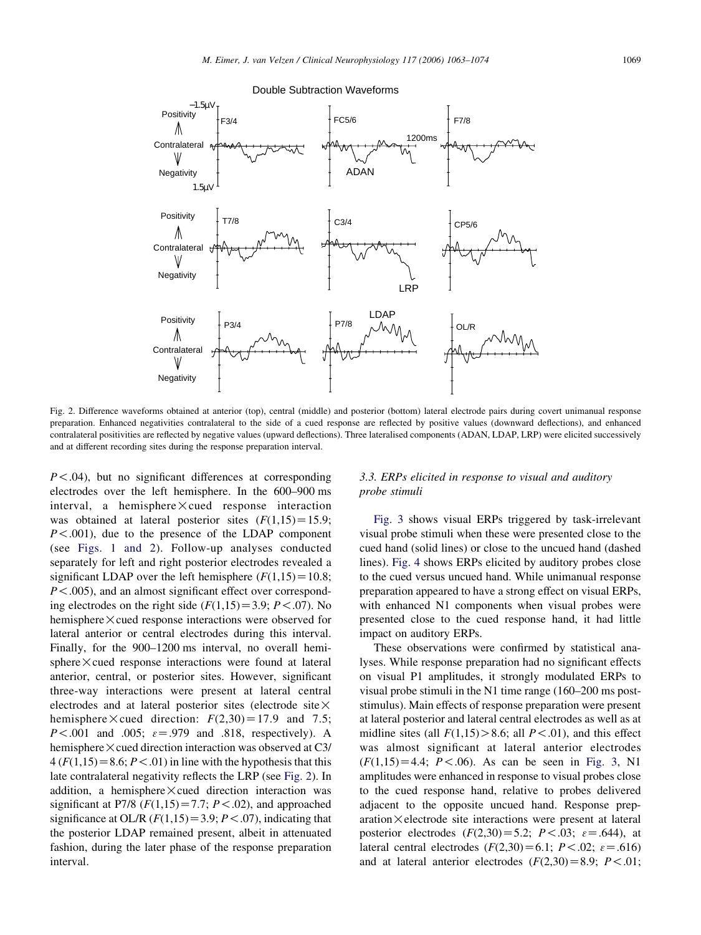#### Double Subtraction Waveforms

<span id="page-6-0"></span>

Fig. 2. Difference waveforms obtained at anterior (top), central (middle) and posterior (bottom) lateral electrode pairs during covert unimanual response preparation. Enhanced negativities contralateral to the side of a cued response are reflected by positive values (downward deflections), and enhanced contralateral positivities are reflected by negative values (upward deflections). Three lateralised components (ADAN, LDAP, LRP) were elicited successively and at different recording sites during the response preparation interval.

 $P < .04$ ), but no significant differences at corresponding electrodes over the left hemisphere. In the 600–900 ms interval, a hemisphere  $\times$  cued response interaction was obtained at lateral posterior sites  $(F(1,15)=15.9;$  $P < .001$ ), due to the presence of the LDAP component (see [Figs. 1 and 2\)](#page-5-0). Follow-up analyses conducted separately for left and right posterior electrodes revealed a significant LDAP over the left hemisphere  $(F(1,15)=10.8;$  $P < .005$ ), and an almost significant effect over corresponding electrodes on the right side  $(F(1,15)=3.9; P<.07)$ . No hemisphere  $\times$  cued response interactions were observed for lateral anterior or central electrodes during this interval. Finally, for the 900–1200 ms interval, no overall hemi $sphere \times cued$  response interactions were found at lateral anterior, central, or posterior sites. However, significant three-way interactions were present at lateral central electrodes and at lateral posterior sites (electrode site  $\times$ hemisphere  $\times$  cued direction:  $F(2,30) = 17.9$  and 7.5;  $P < .001$  and  $.005$ ;  $\varepsilon = .979$  and  $.818$ , respectively). A hemisphere  $\times$  cued direction interaction was observed at C3/  $4(F(1,15)=8.6; P<.01)$  in line with the hypothesis that this late contralateral negativity reflects the LRP (see Fig. 2). In addition, a hemisphere  $\times$  cued direction interaction was significant at P7/8  $(F(1,15)=7.7; P<.02)$ , and approached significance at OL/R  $(F(1,15)=3.9; P<.07)$ , indicating that the posterior LDAP remained present, albeit in attenuated fashion, during the later phase of the response preparation interval.

# 3.3. ERPs elicited in response to visual and auditory probe stimuli

[Fig. 3](#page-7-0) shows visual ERPs triggered by task-irrelevant visual probe stimuli when these were presented close to the cued hand (solid lines) or close to the uncued hand (dashed lines). [Fig. 4](#page-8-0) shows ERPs elicited by auditory probes close to the cued versus uncued hand. While unimanual response preparation appeared to have a strong effect on visual ERPs, with enhanced N1 components when visual probes were presented close to the cued response hand, it had little impact on auditory ERPs.

These observations were confirmed by statistical analyses. While response preparation had no significant effects on visual P1 amplitudes, it strongly modulated ERPs to visual probe stimuli in the N1 time range (160–200 ms poststimulus). Main effects of response preparation were present at lateral posterior and lateral central electrodes as well as at midline sites (all  $F(1,15) > 8.6$ ; all  $P < .01$ ), and this effect was almost significant at lateral anterior electrodes  $(F(1,15)=4.4; P<.06)$ . As can be seen in [Fig. 3](#page-7-0), N1 amplitudes were enhanced in response to visual probes close to the cued response hand, relative to probes delivered adjacent to the opposite uncued hand. Response prep $aration \times$ electrode site interactions were present at lateral posterior electrodes  $(F(2,30)=5.2; P < .03; \varepsilon = .644)$ , at lateral central electrodes  $(F(2,30)=6.1; P<.02; \varepsilon = .616)$ and at lateral anterior electrodes  $(F(2,30)=8.9; P<.01;$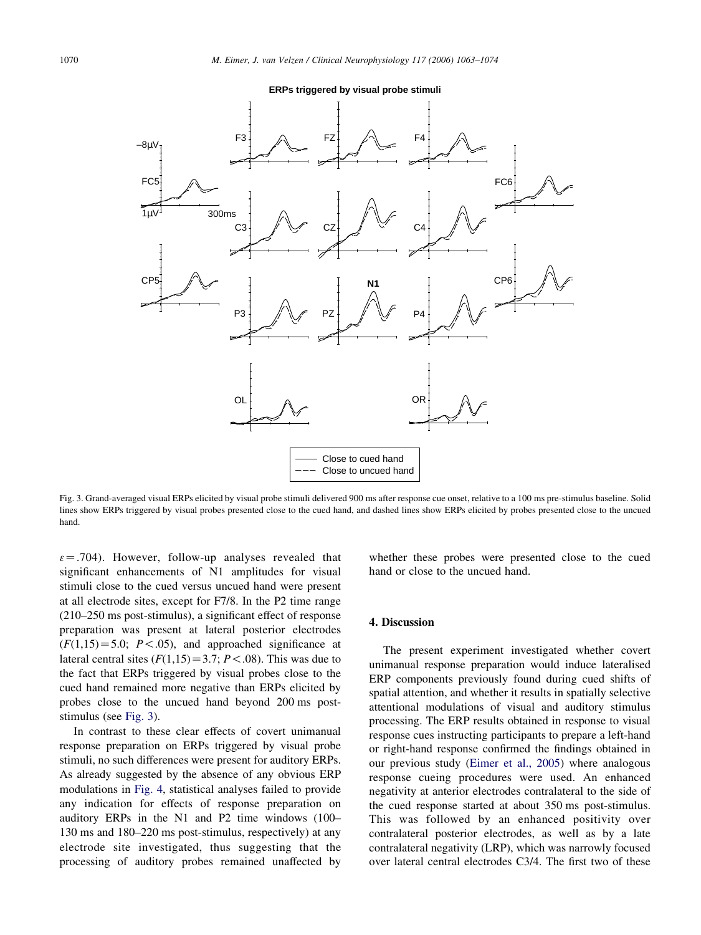#### **ERPs triggered by visual probe stimuli**

<span id="page-7-0"></span>

Fig. 3. Grand-averaged visual ERPs elicited by visual probe stimuli delivered 900 ms after response cue onset, relative to a 100 ms pre-stimulus baseline. Solid lines show ERPs triggered by visual probes presented close to the cued hand, and dashed lines show ERPs elicited by probes presented close to the uncued hand.

 $\varepsilon$ =.704). However, follow-up analyses revealed that significant enhancements of N1 amplitudes for visual stimuli close to the cued versus uncued hand were present at all electrode sites, except for F7/8. In the P2 time range (210–250 ms post-stimulus), a significant effect of response preparation was present at lateral posterior electrodes  $(F(1,15)=5.0; P<.05)$ , and approached significance at lateral central sites  $(F(1,15)=3.7; P<.08)$ . This was due to the fact that ERPs triggered by visual probes close to the cued hand remained more negative than ERPs elicited by probes close to the uncued hand beyond 200 ms poststimulus (see Fig. 3).

In contrast to these clear effects of covert unimanual response preparation on ERPs triggered by visual probe stimuli, no such differences were present for auditory ERPs. As already suggested by the absence of any obvious ERP modulations in [Fig. 4](#page-8-0), statistical analyses failed to provide any indication for effects of response preparation on auditory ERPs in the N1 and P2 time windows (100– 130 ms and 180–220 ms post-stimulus, respectively) at any electrode site investigated, thus suggesting that the processing of auditory probes remained unaffected by whether these probes were presented close to the cued hand or close to the uncued hand.

# 4. Discussion

The present experiment investigated whether covert unimanual response preparation would induce lateralised ERP components previously found during cued shifts of spatial attention, and whether it results in spatially selective attentional modulations of visual and auditory stimulus processing. The ERP results obtained in response to visual response cues instructing participants to prepare a left-hand or right-hand response confirmed the findings obtained in our previous study [\(Eimer et al., 2005\)](#page-10-0) where analogous response cueing procedures were used. An enhanced negativity at anterior electrodes contralateral to the side of the cued response started at about 350 ms post-stimulus. This was followed by an enhanced positivity over contralateral posterior electrodes, as well as by a late contralateral negativity (LRP), which was narrowly focused over lateral central electrodes C3/4. The first two of these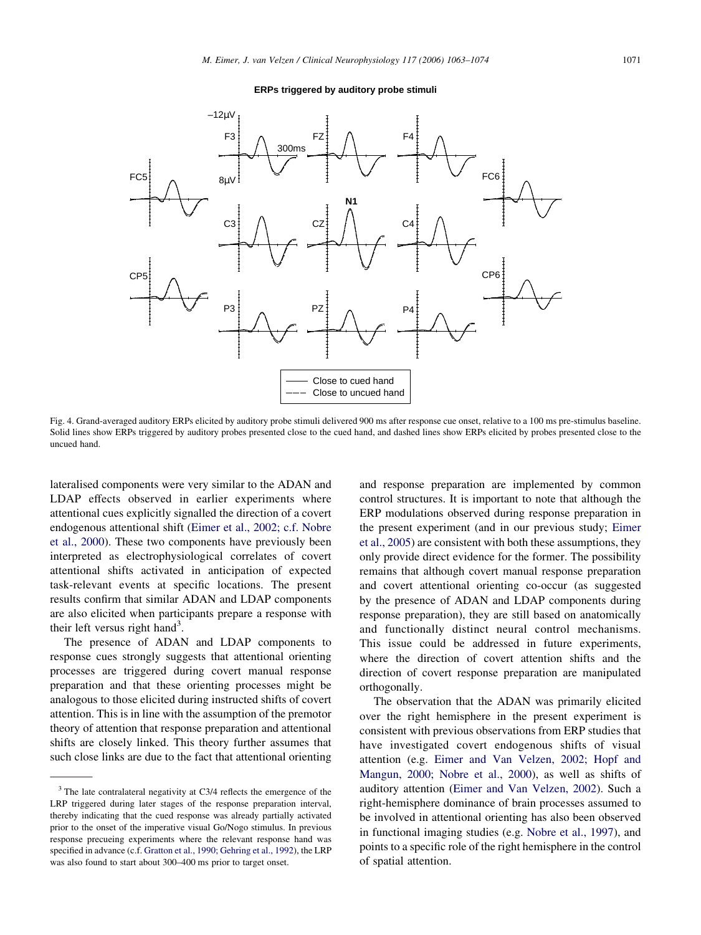#### **ERPs triggered by auditory probe stimuli**

<span id="page-8-0"></span>

Fig. 4. Grand-averaged auditory ERPs elicited by auditory probe stimuli delivered 900 ms after response cue onset, relative to a 100 ms pre-stimulus baseline. Solid lines show ERPs triggered by auditory probes presented close to the cued hand, and dashed lines show ERPs elicited by probes presented close to the uncued hand.

lateralised components were very similar to the ADAN and LDAP effects observed in earlier experiments where attentional cues explicitly signalled the direction of a covert endogenous attentional shift [\(Eimer et al., 2002; c.f. Nobre](#page-10-0) [et al., 2000\)](#page-10-0). These two components have previously been interpreted as electrophysiological correlates of covert attentional shifts activated in anticipation of expected task-relevant events at specific locations. The present results confirm that similar ADAN and LDAP components are also elicited when participants prepare a response with their left versus right hand<sup>3</sup>.

The presence of ADAN and LDAP components to response cues strongly suggests that attentional orienting processes are triggered during covert manual response preparation and that these orienting processes might be analogous to those elicited during instructed shifts of covert attention. This is in line with the assumption of the premotor theory of attention that response preparation and attentional shifts are closely linked. This theory further assumes that such close links are due to the fact that attentional orienting

and response preparation are implemented by common control structures. It is important to note that although the ERP modulations observed during response preparation in the present experiment (and in our previous study; [Eimer](#page-10-0) [et al., 2005](#page-10-0)) are consistent with both these assumptions, they only provide direct evidence for the former. The possibility remains that although covert manual response preparation and covert attentional orienting co-occur (as suggested by the presence of ADAN and LDAP components during response preparation), they are still based on anatomically and functionally distinct neural control mechanisms. This issue could be addressed in future experiments, where the direction of covert attention shifts and the direction of covert response preparation are manipulated orthogonally.

The observation that the ADAN was primarily elicited over the right hemisphere in the present experiment is consistent with previous observations from ERP studies that have investigated covert endogenous shifts of visual attention (e.g. [Eimer and Van Velzen, 2002; Hopf and](#page-10-0) [Mangun, 2000; Nobre et al., 2000\)](#page-10-0), as well as shifts of auditory attention [\(Eimer and Van Velzen, 2002\)](#page-10-0). Such a right-hemisphere dominance of brain processes assumed to be involved in attentional orienting has also been observed in functional imaging studies (e.g. [Nobre et al., 1997](#page-11-0)), and points to a specific role of the right hemisphere in the control of spatial attention.

<sup>&</sup>lt;sup>3</sup> The late contralateral negativity at C3/4 reflects the emergence of the LRP triggered during later stages of the response preparation interval, thereby indicating that the cued response was already partially activated prior to the onset of the imperative visual Go/Nogo stimulus. In previous response precueing experiments where the relevant response hand was specified in advance (c.f. [Gratton et al., 1990; Gehring et al., 1992](#page-10-0)), the LRP was also found to start about 300–400 ms prior to target onset.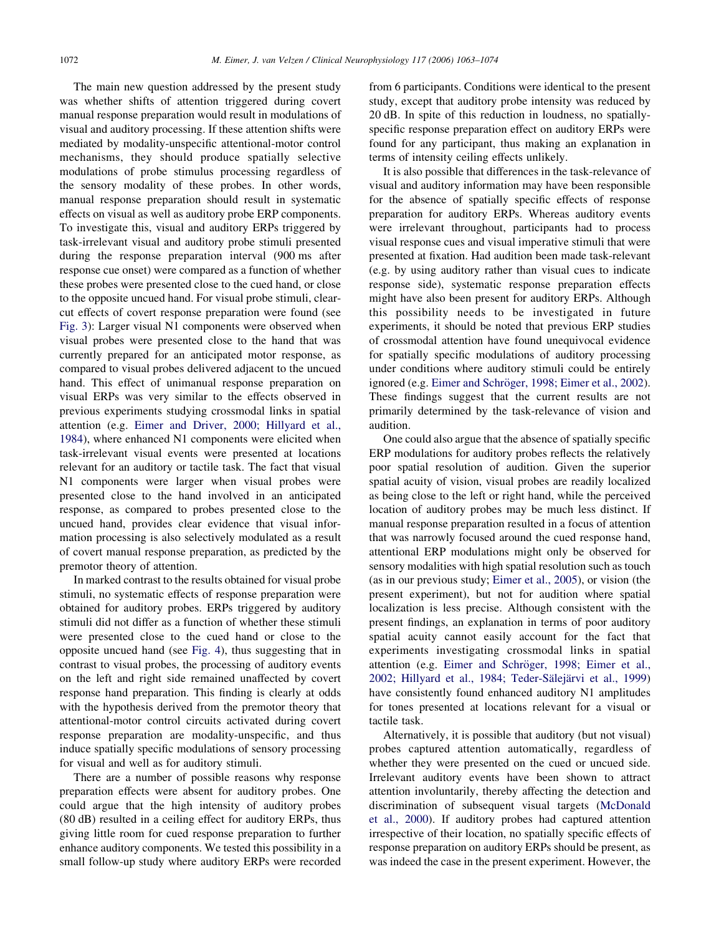The main new question addressed by the present study was whether shifts of attention triggered during covert manual response preparation would result in modulations of visual and auditory processing. If these attention shifts were mediated by modality-unspecific attentional-motor control mechanisms, they should produce spatially selective modulations of probe stimulus processing regardless of the sensory modality of these probes. In other words, manual response preparation should result in systematic effects on visual as well as auditory probe ERP components. To investigate this, visual and auditory ERPs triggered by task-irrelevant visual and auditory probe stimuli presented during the response preparation interval (900 ms after response cue onset) were compared as a function of whether these probes were presented close to the cued hand, or close to the opposite uncued hand. For visual probe stimuli, clearcut effects of covert response preparation were found (see [Fig. 3](#page-7-0)): Larger visual N1 components were observed when visual probes were presented close to the hand that was currently prepared for an anticipated motor response, as compared to visual probes delivered adjacent to the uncued hand. This effect of unimanual response preparation on visual ERPs was very similar to the effects observed in previous experiments studying crossmodal links in spatial attention (e.g. [Eimer and Driver, 2000; Hillyard et al.,](#page-10-0) [1984\)](#page-10-0), where enhanced N1 components were elicited when task-irrelevant visual events were presented at locations relevant for an auditory or tactile task. The fact that visual N1 components were larger when visual probes were presented close to the hand involved in an anticipated response, as compared to probes presented close to the uncued hand, provides clear evidence that visual information processing is also selectively modulated as a result of covert manual response preparation, as predicted by the premotor theory of attention.

In marked contrast to the results obtained for visual probe stimuli, no systematic effects of response preparation were obtained for auditory probes. ERPs triggered by auditory stimuli did not differ as a function of whether these stimuli were presented close to the cued hand or close to the opposite uncued hand (see [Fig. 4](#page-8-0)), thus suggesting that in contrast to visual probes, the processing of auditory events on the left and right side remained unaffected by covert response hand preparation. This finding is clearly at odds with the hypothesis derived from the premotor theory that attentional-motor control circuits activated during covert response preparation are modality-unspecific, and thus induce spatially specific modulations of sensory processing for visual and well as for auditory stimuli.

There are a number of possible reasons why response preparation effects were absent for auditory probes. One could argue that the high intensity of auditory probes (80 dB) resulted in a ceiling effect for auditory ERPs, thus giving little room for cued response preparation to further enhance auditory components. We tested this possibility in a small follow-up study where auditory ERPs were recorded

from 6 participants. Conditions were identical to the present study, except that auditory probe intensity was reduced by 20 dB. In spite of this reduction in loudness, no spatiallyspecific response preparation effect on auditory ERPs were found for any participant, thus making an explanation in terms of intensity ceiling effects unlikely.

It is also possible that differences in the task-relevance of visual and auditory information may have been responsible for the absence of spatially specific effects of response preparation for auditory ERPs. Whereas auditory events were irrelevant throughout, participants had to process visual response cues and visual imperative stimuli that were presented at fixation. Had audition been made task-relevant (e.g. by using auditory rather than visual cues to indicate response side), systematic response preparation effects might have also been present for auditory ERPs. Although this possibility needs to be investigated in future experiments, it should be noted that previous ERP studies of crossmodal attention have found unequivocal evidence for spatially specific modulations of auditory processing under conditions where auditory stimuli could be entirely ignored (e.g. Eimer and Schröger, 1998; Eimer et al., 2002). These findings suggest that the current results are not primarily determined by the task-relevance of vision and audition.

One could also argue that the absence of spatially specific ERP modulations for auditory probes reflects the relatively poor spatial resolution of audition. Given the superior spatial acuity of vision, visual probes are readily localized as being close to the left or right hand, while the perceived location of auditory probes may be much less distinct. If manual response preparation resulted in a focus of attention that was narrowly focused around the cued response hand, attentional ERP modulations might only be observed for sensory modalities with high spatial resolution such as touch (as in our previous study; [Eimer et al., 2005\)](#page-10-0), or vision (the present experiment), but not for audition where spatial localization is less precise. Although consistent with the present findings, an explanation in terms of poor auditory spatial acuity cannot easily account for the fact that experiments investigating crossmodal links in spatial attention (e.g. Eimer and Schröger, 1998; Eimer et al., 2002; Hillyard et al., 1984; Teder-Sälejärvi et al., 1999) have consistently found enhanced auditory N1 amplitudes for tones presented at locations relevant for a visual or tactile task.

Alternatively, it is possible that auditory (but not visual) probes captured attention automatically, regardless of whether they were presented on the cued or uncued side. Irrelevant auditory events have been shown to attract attention involuntarily, thereby affecting the detection and discrimination of subsequent visual targets ([McDonald](#page-11-0) [et al., 2000\)](#page-11-0). If auditory probes had captured attention irrespective of their location, no spatially specific effects of response preparation on auditory ERPs should be present, as was indeed the case in the present experiment. However, the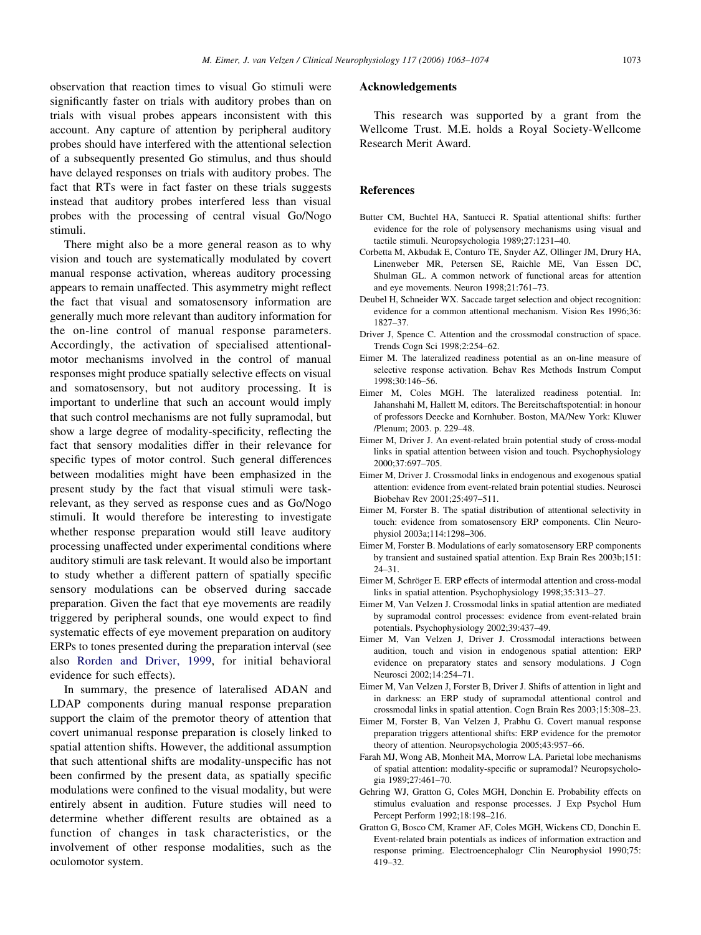<span id="page-10-0"></span>observation that reaction times to visual Go stimuli were significantly faster on trials with auditory probes than on trials with visual probes appears inconsistent with this account. Any capture of attention by peripheral auditory probes should have interfered with the attentional selection of a subsequently presented Go stimulus, and thus should have delayed responses on trials with auditory probes. The fact that RTs were in fact faster on these trials suggests instead that auditory probes interfered less than visual probes with the processing of central visual Go/Nogo stimuli.

There might also be a more general reason as to why vision and touch are systematically modulated by covert manual response activation, whereas auditory processing appears to remain unaffected. This asymmetry might reflect the fact that visual and somatosensory information are generally much more relevant than auditory information for the on-line control of manual response parameters. Accordingly, the activation of specialised attentionalmotor mechanisms involved in the control of manual responses might produce spatially selective effects on visual and somatosensory, but not auditory processing. It is important to underline that such an account would imply that such control mechanisms are not fully supramodal, but show a large degree of modality-specificity, reflecting the fact that sensory modalities differ in their relevance for specific types of motor control. Such general differences between modalities might have been emphasized in the present study by the fact that visual stimuli were taskrelevant, as they served as response cues and as Go/Nogo stimuli. It would therefore be interesting to investigate whether response preparation would still leave auditory processing unaffected under experimental conditions where auditory stimuli are task relevant. It would also be important to study whether a different pattern of spatially specific sensory modulations can be observed during saccade preparation. Given the fact that eye movements are readily triggered by peripheral sounds, one would expect to find systematic effects of eye movement preparation on auditory ERPs to tones presented during the preparation interval (see also [Rorden and Driver, 1999,](#page-11-0) for initial behavioral evidence for such effects).

In summary, the presence of lateralised ADAN and LDAP components during manual response preparation support the claim of the premotor theory of attention that covert unimanual response preparation is closely linked to spatial attention shifts. However, the additional assumption that such attentional shifts are modality-unspecific has not been confirmed by the present data, as spatially specific modulations were confined to the visual modality, but were entirely absent in audition. Future studies will need to determine whether different results are obtained as a function of changes in task characteristics, or the involvement of other response modalities, such as the oculomotor system.

## Acknowledgements

This research was supported by a grant from the Wellcome Trust. M.E. holds a Royal Society-Wellcome Research Merit Award.

# References

- Butter CM, Buchtel HA, Santucci R. Spatial attentional shifts: further evidence for the role of polysensory mechanisms using visual and tactile stimuli. Neuropsychologia 1989;27:1231–40.
- Corbetta M, Akbudak E, Conturo TE, Snyder AZ, Ollinger JM, Drury HA, Linenweber MR, Petersen SE, Raichle ME, Van Essen DC, Shulman GL. A common network of functional areas for attention and eye movements. Neuron 1998;21:761–73.
- Deubel H, Schneider WX. Saccade target selection and object recognition: evidence for a common attentional mechanism. Vision Res 1996;36: 1827–37.
- Driver J, Spence C. Attention and the crossmodal construction of space. Trends Cogn Sci 1998;2:254–62.
- Eimer M. The lateralized readiness potential as an on-line measure of selective response activation. Behav Res Methods Instrum Comput 1998;30:146–56.
- Eimer M, Coles MGH. The lateralized readiness potential. In: Jahanshahi M, Hallett M, editors. The Bereitschaftspotential: in honour of professors Deecke and Kornhuber. Boston, MA/New York: Kluwer /Plenum; 2003. p. 229–48.
- Eimer M, Driver J. An event-related brain potential study of cross-modal links in spatial attention between vision and touch. Psychophysiology 2000;37:697–705.
- Eimer M, Driver J. Crossmodal links in endogenous and exogenous spatial attention: evidence from event-related brain potential studies. Neurosci Biobehav Rev 2001;25:497–511.
- Eimer M, Forster B. The spatial distribution of attentional selectivity in touch: evidence from somatosensory ERP components. Clin Neurophysiol 2003a;114:1298–306.
- Eimer M, Forster B. Modulations of early somatosensory ERP components by transient and sustained spatial attention. Exp Brain Res 2003b;151: 24–31.
- Eimer M, Schröger E. ERP effects of intermodal attention and cross-modal links in spatial attention. Psychophysiology 1998;35:313–27.
- Eimer M, Van Velzen J. Crossmodal links in spatial attention are mediated by supramodal control processes: evidence from event-related brain potentials. Psychophysiology 2002;39:437–49.
- Eimer M, Van Velzen J, Driver J. Crossmodal interactions between audition, touch and vision in endogenous spatial attention: ERP evidence on preparatory states and sensory modulations. J Cogn Neurosci 2002;14:254–71.
- Eimer M, Van Velzen J, Forster B, Driver J. Shifts of attention in light and in darkness: an ERP study of supramodal attentional control and crossmodal links in spatial attention. Cogn Brain Res 2003;15:308–23.
- Eimer M, Forster B, Van Velzen J, Prabhu G. Covert manual response preparation triggers attentional shifts: ERP evidence for the premotor theory of attention. Neuropsychologia 2005;43:957–66.
- Farah MJ, Wong AB, Monheit MA, Morrow LA. Parietal lobe mechanisms of spatial attention: modality-specific or supramodal? Neuropsychologia 1989;27:461–70.
- Gehring WJ, Gratton G, Coles MGH, Donchin E. Probability effects on stimulus evaluation and response processes. J Exp Psychol Hum Percept Perform 1992;18:198–216.
- Gratton G, Bosco CM, Kramer AF, Coles MGH, Wickens CD, Donchin E. Event-related brain potentials as indices of information extraction and response priming. Electroencephalogr Clin Neurophysiol 1990;75: 419–32.